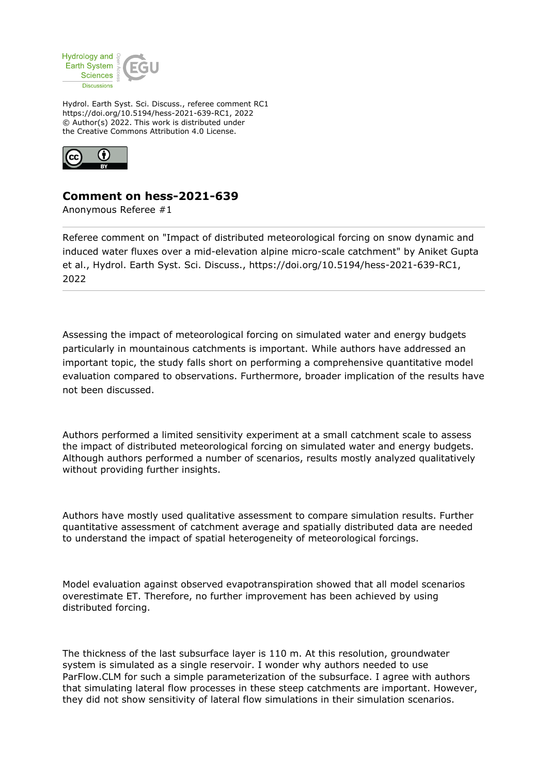

Hydrol. Earth Syst. Sci. Discuss., referee comment RC1 https://doi.org/10.5194/hess-2021-639-RC1, 2022 © Author(s) 2022. This work is distributed under the Creative Commons Attribution 4.0 License.



## **Comment on hess-2021-639**

Anonymous Referee #1

Referee comment on "Impact of distributed meteorological forcing on snow dynamic and induced water fluxes over a mid-elevation alpine micro-scale catchment" by Aniket Gupta et al., Hydrol. Earth Syst. Sci. Discuss., https://doi.org/10.5194/hess-2021-639-RC1, 2022

Assessing the impact of meteorological forcing on simulated water and energy budgets particularly in mountainous catchments is important. While authors have addressed an important topic, the study falls short on performing a comprehensive quantitative model evaluation compared to observations. Furthermore, broader implication of the results have not been discussed.

Authors performed a limited sensitivity experiment at a small catchment scale to assess the impact of distributed meteorological forcing on simulated water and energy budgets. Although authors performed a number of scenarios, results mostly analyzed qualitatively without providing further insights.

Authors have mostly used qualitative assessment to compare simulation results. Further quantitative assessment of catchment average and spatially distributed data are needed to understand the impact of spatial heterogeneity of meteorological forcings.

Model evaluation against observed evapotranspiration showed that all model scenarios overestimate ET. Therefore, no further improvement has been achieved by using distributed forcing.

The thickness of the last subsurface layer is 110 m. At this resolution, groundwater system is simulated as a single reservoir. I wonder why authors needed to use ParFlow.CLM for such a simple parameterization of the subsurface. I agree with authors that simulating lateral flow processes in these steep catchments are important. However, they did not show sensitivity of lateral flow simulations in their simulation scenarios.